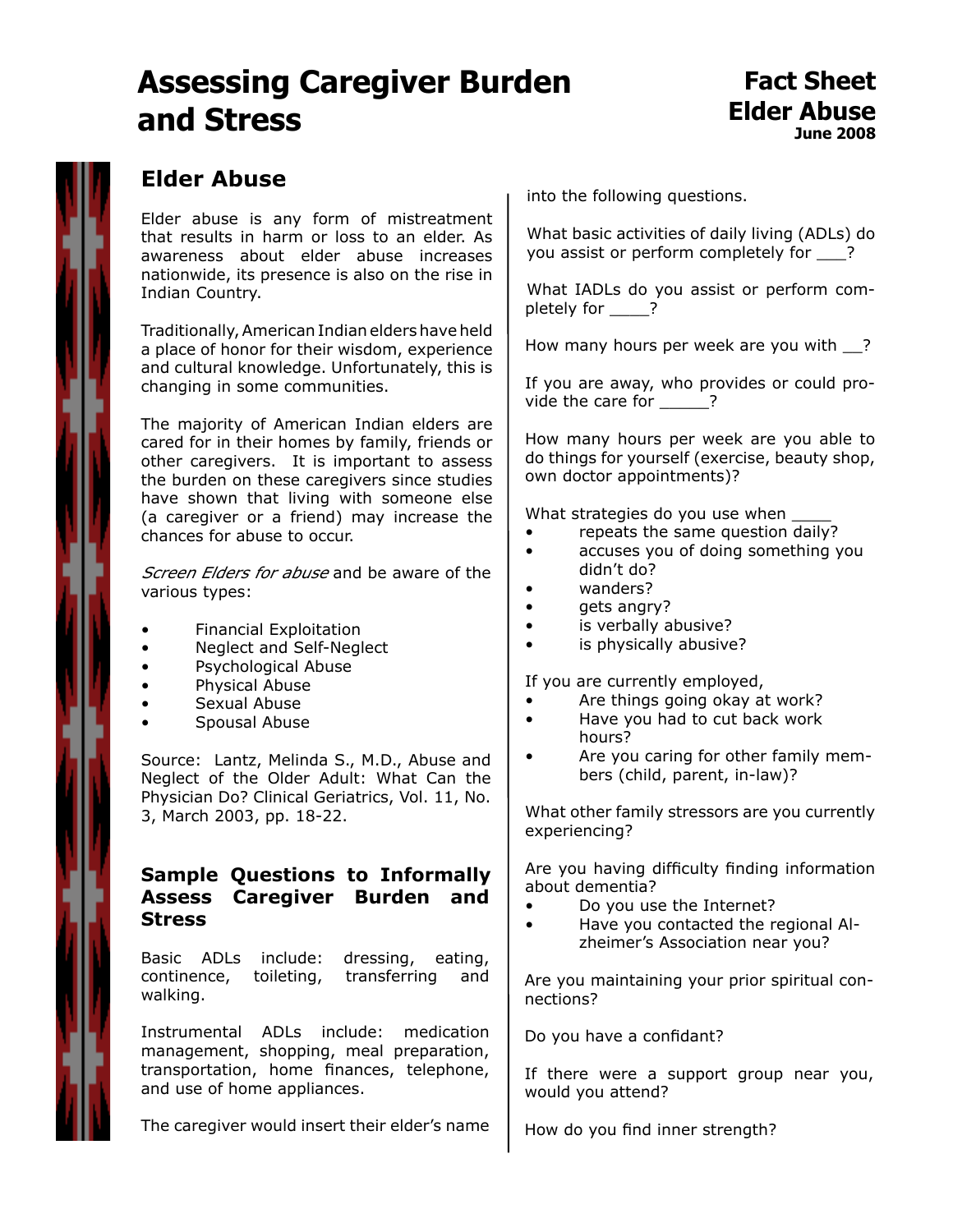# **Assessing Caregiver Burden and Stress**

### **Elder Abuse**

Elder abuse is any form of mistreatment that results in harm or loss to an elder. As awareness about elder abuse increases nationwide, its presence is also on the rise in Indian Country.

Traditionally, American Indian elders have held a place of honor for their wisdom, experience and cultural knowledge. Unfortunately, this is changing in some communities.

The majority of American Indian elders are cared for in their homes by family, friends or other caregivers. It is important to assess the burden on these caregivers since studies have shown that living with someone else (a caregiver or a friend) may increase the chances for abuse to occur.

Screen Elders for abuse and be aware of the various types:

- Financial Exploitation
- Neglect and Self-Neglect
- Psychological Abuse
- Physical Abuse
- Sexual Abuse
- Spousal Abuse

Source: Lantz, Melinda S., M.D., Abuse and Neglect of the Older Adult: What Can the Physician Do? Clinical Geriatrics, Vol. 11, No. 3, March 2003, pp. 18-22.

#### **Sample Questions to Informally Assess Caregiver Burden and Stress**

Basic ADLs include: dressing, eating, continence, toileting, transferring and walking.

Instrumental ADLs include: medication management, shopping, meal preparation, transportation, home finances, telephone, and use of home appliances.

The caregiver would insert their elder's name

into the following questions.

What basic activities of daily living (ADLs) do you assist or perform completely for \_\_\_?

What IADLs do you assist or perform completely for ?

How many hours per week are you with ?

If you are away, who provides or could provide the care for  $\qquad$  ?

How many hours per week are you able to do things for yourself (exercise, beauty shop, own doctor appointments)?

What strategies do you use when

- repeats the same question daily?
- accuses you of doing something you didn't do?
- wanders?
- gets angry?
- is verbally abusive?
- is physically abusive?

If you are currently employed,

- Are things going okay at work?
- Have you had to cut back work hours?
- Are you caring for other family members (child, parent, in-law)?

What other family stressors are you currently experiencing?

Are you having difficulty finding information about dementia?

- Do you use the Internet?
- Have you contacted the regional Alzheimer's Association near you?

Are you maintaining your prior spiritual connections?

Do you have a confidant?

If there were a support group near you, would you attend?

How do you find inner strength?